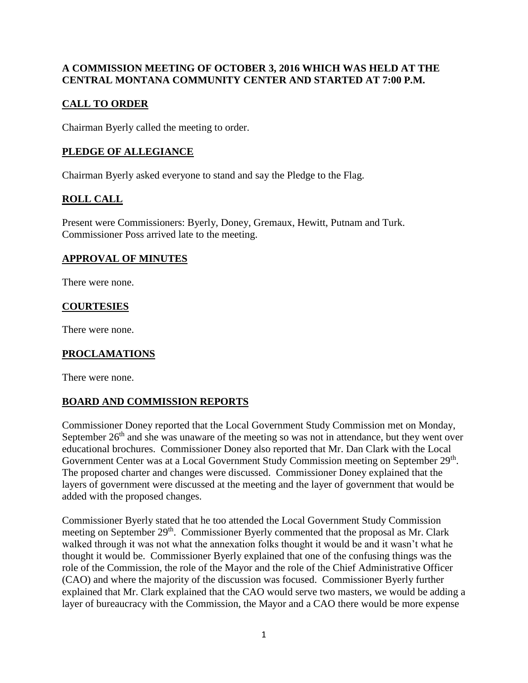#### **A COMMISSION MEETING OF OCTOBER 3, 2016 WHICH WAS HELD AT THE CENTRAL MONTANA COMMUNITY CENTER AND STARTED AT 7:00 P.M.**

## **CALL TO ORDER**

Chairman Byerly called the meeting to order.

## **PLEDGE OF ALLEGIANCE**

Chairman Byerly asked everyone to stand and say the Pledge to the Flag.

# **ROLL CALL**

Present were Commissioners: Byerly, Doney, Gremaux, Hewitt, Putnam and Turk. Commissioner Poss arrived late to the meeting.

#### **APPROVAL OF MINUTES**

There were none.

## **COURTESIES**

There were none.

## **PROCLAMATIONS**

There were none.

## **BOARD AND COMMISSION REPORTS**

Commissioner Doney reported that the Local Government Study Commission met on Monday, September  $26<sup>th</sup>$  and she was unaware of the meeting so was not in attendance, but they went over educational brochures. Commissioner Doney also reported that Mr. Dan Clark with the Local Government Center was at a Local Government Study Commission meeting on September 29<sup>th</sup>. The proposed charter and changes were discussed. Commissioner Doney explained that the layers of government were discussed at the meeting and the layer of government that would be added with the proposed changes.

Commissioner Byerly stated that he too attended the Local Government Study Commission meeting on September 29<sup>th</sup>. Commissioner Byerly commented that the proposal as Mr. Clark walked through it was not what the annexation folks thought it would be and it wasn't what he thought it would be. Commissioner Byerly explained that one of the confusing things was the role of the Commission, the role of the Mayor and the role of the Chief Administrative Officer (CAO) and where the majority of the discussion was focused. Commissioner Byerly further explained that Mr. Clark explained that the CAO would serve two masters, we would be adding a layer of bureaucracy with the Commission, the Mayor and a CAO there would be more expense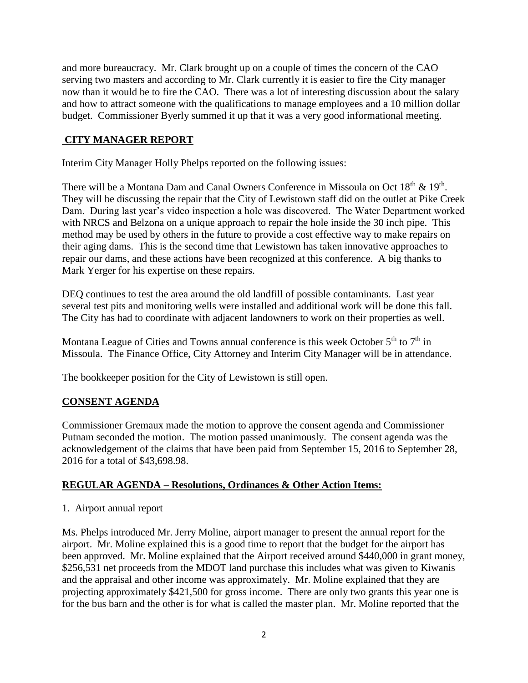and more bureaucracy. Mr. Clark brought up on a couple of times the concern of the CAO serving two masters and according to Mr. Clark currently it is easier to fire the City manager now than it would be to fire the CAO. There was a lot of interesting discussion about the salary and how to attract someone with the qualifications to manage employees and a 10 million dollar budget. Commissioner Byerly summed it up that it was a very good informational meeting.

### **CITY MANAGER REPORT**

Interim City Manager Holly Phelps reported on the following issues:

There will be a Montana Dam and Canal Owners Conference in Missoula on Oct  $18^{th}$  &  $19^{th}$ . They will be discussing the repair that the City of Lewistown staff did on the outlet at Pike Creek Dam. During last year's video inspection a hole was discovered. The Water Department worked with NRCS and Belzona on a unique approach to repair the hole inside the 30 inch pipe. This method may be used by others in the future to provide a cost effective way to make repairs on their aging dams. This is the second time that Lewistown has taken innovative approaches to repair our dams, and these actions have been recognized at this conference. A big thanks to Mark Yerger for his expertise on these repairs.

DEQ continues to test the area around the old landfill of possible contaminants. Last year several test pits and monitoring wells were installed and additional work will be done this fall. The City has had to coordinate with adjacent landowners to work on their properties as well.

Montana League of Cities and Towns annual conference is this week October  $5<sup>th</sup>$  to  $7<sup>th</sup>$  in Missoula. The Finance Office, City Attorney and Interim City Manager will be in attendance.

The bookkeeper position for the City of Lewistown is still open.

## **CONSENT AGENDA**

Commissioner Gremaux made the motion to approve the consent agenda and Commissioner Putnam seconded the motion. The motion passed unanimously. The consent agenda was the acknowledgement of the claims that have been paid from September 15, 2016 to September 28, 2016 for a total of \$43,698.98.

#### **REGULAR AGENDA – Resolutions, Ordinances & Other Action Items:**

1. Airport annual report

Ms. Phelps introduced Mr. Jerry Moline, airport manager to present the annual report for the airport. Mr. Moline explained this is a good time to report that the budget for the airport has been approved. Mr. Moline explained that the Airport received around \$440,000 in grant money, \$256,531 net proceeds from the MDOT land purchase this includes what was given to Kiwanis and the appraisal and other income was approximately. Mr. Moline explained that they are projecting approximately \$421,500 for gross income. There are only two grants this year one is for the bus barn and the other is for what is called the master plan. Mr. Moline reported that the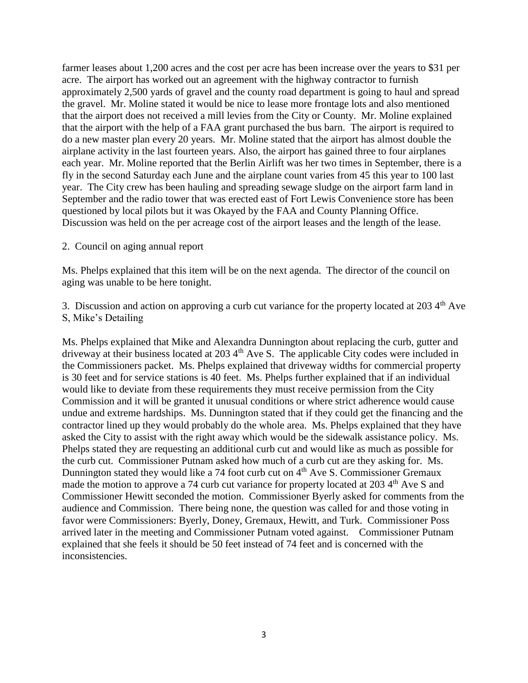farmer leases about 1,200 acres and the cost per acre has been increase over the years to \$31 per acre. The airport has worked out an agreement with the highway contractor to furnish approximately 2,500 yards of gravel and the county road department is going to haul and spread the gravel. Mr. Moline stated it would be nice to lease more frontage lots and also mentioned that the airport does not received a mill levies from the City or County. Mr. Moline explained that the airport with the help of a FAA grant purchased the bus barn. The airport is required to do a new master plan every 20 years. Mr. Moline stated that the airport has almost double the airplane activity in the last fourteen years. Also, the airport has gained three to four airplanes each year. Mr. Moline reported that the Berlin Airlift was her two times in September, there is a fly in the second Saturday each June and the airplane count varies from 45 this year to 100 last year. The City crew has been hauling and spreading sewage sludge on the airport farm land in September and the radio tower that was erected east of Fort Lewis Convenience store has been questioned by local pilots but it was Okayed by the FAA and County Planning Office. Discussion was held on the per acreage cost of the airport leases and the length of the lease.

2. Council on aging annual report

Ms. Phelps explained that this item will be on the next agenda. The director of the council on aging was unable to be here tonight.

3. Discussion and action on approving a curb cut variance for the property located at  $203\,4<sup>th</sup>$  Ave S, Mike's Detailing

Ms. Phelps explained that Mike and Alexandra Dunnington about replacing the curb, gutter and driveway at their business located at 203 4<sup>th</sup> Ave S. The applicable City codes were included in the Commissioners packet. Ms. Phelps explained that driveway widths for commercial property is 30 feet and for service stations is 40 feet. Ms. Phelps further explained that if an individual would like to deviate from these requirements they must receive permission from the City Commission and it will be granted it unusual conditions or where strict adherence would cause undue and extreme hardships. Ms. Dunnington stated that if they could get the financing and the contractor lined up they would probably do the whole area. Ms. Phelps explained that they have asked the City to assist with the right away which would be the sidewalk assistance policy. Ms. Phelps stated they are requesting an additional curb cut and would like as much as possible for the curb cut. Commissioner Putnam asked how much of a curb cut are they asking for. Ms. Dunnington stated they would like a 74 foot curb cut on 4<sup>th</sup> Ave S. Commissioner Gremaux made the motion to approve a 74 curb cut variance for property located at 2034<sup>th</sup> Ave S and Commissioner Hewitt seconded the motion. Commissioner Byerly asked for comments from the audience and Commission. There being none, the question was called for and those voting in favor were Commissioners: Byerly, Doney, Gremaux, Hewitt, and Turk. Commissioner Poss arrived later in the meeting and Commissioner Putnam voted against. Commissioner Putnam explained that she feels it should be 50 feet instead of 74 feet and is concerned with the inconsistencies.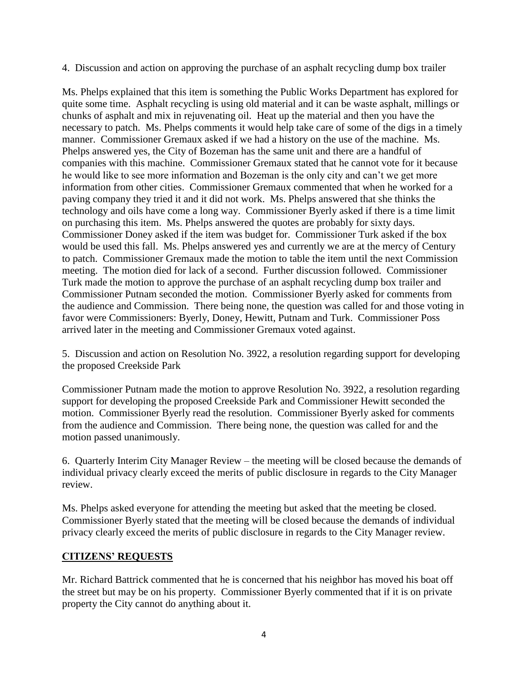4. Discussion and action on approving the purchase of an asphalt recycling dump box trailer

Ms. Phelps explained that this item is something the Public Works Department has explored for quite some time. Asphalt recycling is using old material and it can be waste asphalt, millings or chunks of asphalt and mix in rejuvenating oil. Heat up the material and then you have the necessary to patch. Ms. Phelps comments it would help take care of some of the digs in a timely manner. Commissioner Gremaux asked if we had a history on the use of the machine. Ms. Phelps answered yes, the City of Bozeman has the same unit and there are a handful of companies with this machine. Commissioner Gremaux stated that he cannot vote for it because he would like to see more information and Bozeman is the only city and can't we get more information from other cities. Commissioner Gremaux commented that when he worked for a paving company they tried it and it did not work. Ms. Phelps answered that she thinks the technology and oils have come a long way. Commissioner Byerly asked if there is a time limit on purchasing this item. Ms. Phelps answered the quotes are probably for sixty days. Commissioner Doney asked if the item was budget for. Commissioner Turk asked if the box would be used this fall. Ms. Phelps answered yes and currently we are at the mercy of Century to patch. Commissioner Gremaux made the motion to table the item until the next Commission meeting. The motion died for lack of a second. Further discussion followed. Commissioner Turk made the motion to approve the purchase of an asphalt recycling dump box trailer and Commissioner Putnam seconded the motion. Commissioner Byerly asked for comments from the audience and Commission. There being none, the question was called for and those voting in favor were Commissioners: Byerly, Doney, Hewitt, Putnam and Turk. Commissioner Poss arrived later in the meeting and Commissioner Gremaux voted against.

5. Discussion and action on Resolution No. 3922, a resolution regarding support for developing the proposed Creekside Park

Commissioner Putnam made the motion to approve Resolution No. 3922, a resolution regarding support for developing the proposed Creekside Park and Commissioner Hewitt seconded the motion. Commissioner Byerly read the resolution. Commissioner Byerly asked for comments from the audience and Commission. There being none, the question was called for and the motion passed unanimously.

6. Quarterly Interim City Manager Review – the meeting will be closed because the demands of individual privacy clearly exceed the merits of public disclosure in regards to the City Manager review.

Ms. Phelps asked everyone for attending the meeting but asked that the meeting be closed. Commissioner Byerly stated that the meeting will be closed because the demands of individual privacy clearly exceed the merits of public disclosure in regards to the City Manager review.

#### **CITIZENS' REQUESTS**

Mr. Richard Battrick commented that he is concerned that his neighbor has moved his boat off the street but may be on his property. Commissioner Byerly commented that if it is on private property the City cannot do anything about it.